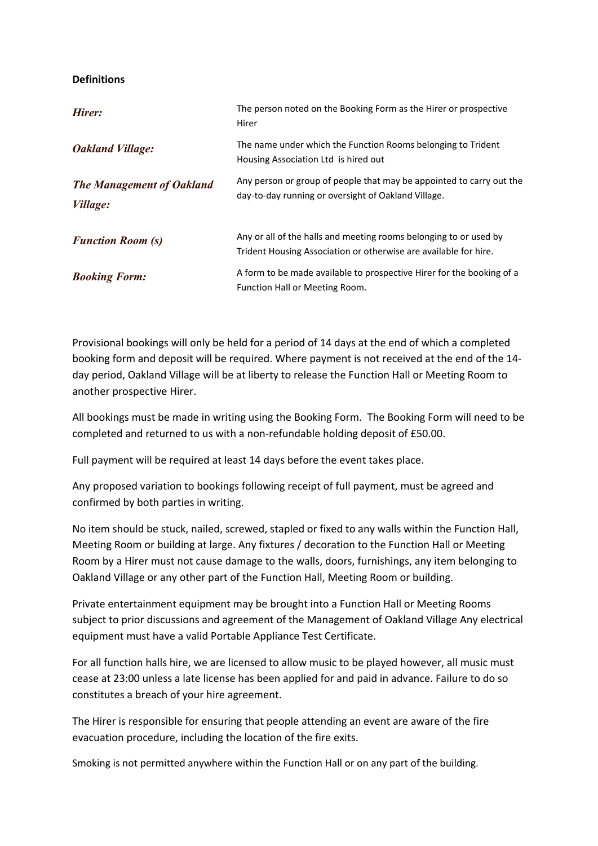## **Definitions**

| Hirer:                                              | The person noted on the Booking Form as the Hirer or prospective<br>Hirer                                                             |
|-----------------------------------------------------|---------------------------------------------------------------------------------------------------------------------------------------|
| <b>Oakland Village:</b>                             | The name under which the Function Rooms belonging to Trident<br>Housing Association Ltd is hired out                                  |
| <b>The Management of Oakland</b><br><i>Village:</i> | Any person or group of people that may be appointed to carry out the<br>day-to-day running or oversight of Oakland Village.           |
| <b>Function Room (s)</b>                            | Any or all of the halls and meeting rooms belonging to or used by<br>Trident Housing Association or otherwise are available for hire. |
| <b>Booking Form:</b>                                | A form to be made available to prospective Hirer for the booking of a<br>Function Hall or Meeting Room.                               |

Provisional bookings will only be held for a period of 14 days at the end of which a completed booking form and deposit will be required. Where payment is not received at the end of the 14 day period, Oakland Village will be at liberty to release the Function Hall or Meeting Room to another prospective Hirer.

All bookings must be made in writing using the Booking Form. The Booking Form will need to be completed and returned to us with a non-refundable holding deposit of £50.00.

Full payment will be required at least 14 days before the event takes place.

Any proposed variation to bookings following receipt of full payment, must be agreed and confirmed by both parties in writing.

No item should be stuck, nailed, screwed, stapled or fixed to any walls within the Function Hall, Meeting Room or building at large. Any fixtures / decoration to the Function Hall or Meeting Room by a Hirer must not cause damage to the walls, doors, furnishings, any item belonging to Oakland Village or any other part of the Function Hall, Meeting Room or building.

Private entertainment equipment may be brought into a Function Hall or Meeting Rooms subject to prior discussions and agreement of the Management of Oakland Village Any electrical equipment must have a valid Portable Appliance Test Certificate.

For all function halls hire, we are licensed to allow music to be played however, all music must cease at 23:00 unless a late license has been applied for and paid in advance. Failure to do so constitutes a breach of your hire agreement.

The Hirer is responsible for ensuring that people attending an event are aware of the fire evacuation procedure, including the location of the fire exits.

Smoking is not permitted anywhere within the Function Hall or on any part of the building.